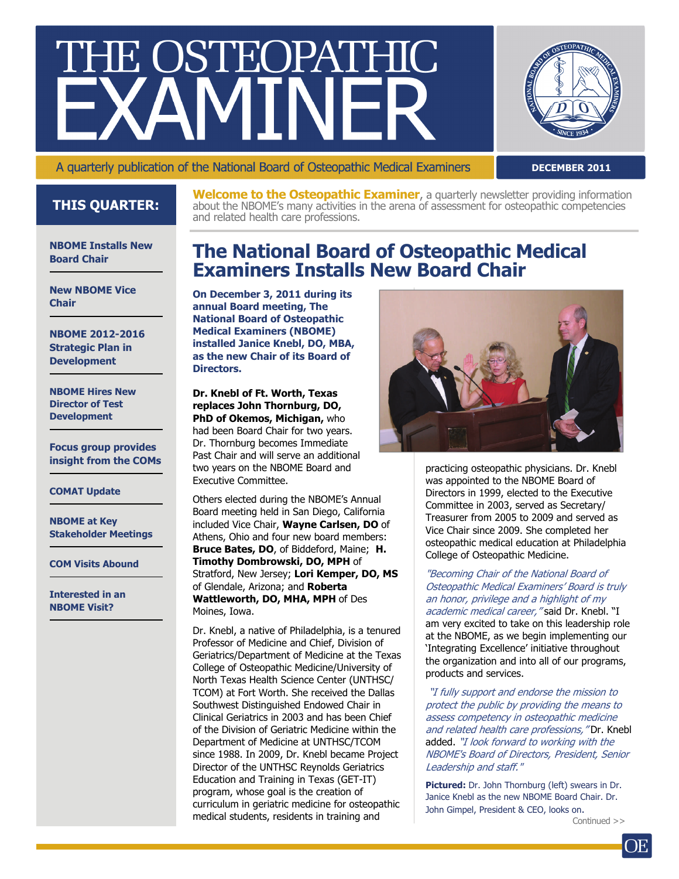# THE OSTEOPATHIC



A quarterly publication of the National Board of Osteopathic Medical Examiners

**DECEMBER 2011**

## **THIS QUARTER:**

**Welcome to the Osteopathic Examiner**, a quarterly newsletter providing information about the NBOME's many activities in the arena of assessment for osteopathic competencies and related health care professions.

#### **NBOME Installs New Board Chair**

**New NBOME Vice Chair** 

**NBOME 2012-2016 Strategic Plan in Development** 

**NBOME Hires New Director of Test Development** 

**Focus group provides insight from the COMs** 

#### **COMAT Update**

**NBOME at Key Stakeholder Meetings** 

**COM Visits Abound** 

**Interested in an NBOME Visit?** 

## **The National Board of Osteopathic Medical Examiners Installs New Board Chair**

**On December 3, 2011 during its annual Board meeting, The National Board of Osteopathic Medical Examiners (NBOME) installed Janice Knebl, DO, MBA, as the new Chair of its Board of Directors.** 

#### **Dr. Knebl of Ft. Worth, Texas replaces John Thornburg, DO, PhD of Okemos, Michigan,** who

had been Board Chair for two years. Dr. Thornburg becomes Immediate Past Chair and will serve an additional two years on the NBOME Board and Executive Committee.

Others elected during the NBOME's Annual Board meeting held in San Diego, California included Vice Chair, **Wayne Carlsen, DO** of Athens, Ohio and four new board members: **Bruce Bates, DO**, of Biddeford, Maine; **H. Timothy Dombrowski, DO, MPH** of Stratford, New Jersey; **Lori Kemper, DO, MS**  of Glendale, Arizona; and **Roberta Wattleworth, DO, MHA, MPH** of Des Moines, Iowa.

Dr. Knebl, a native of Philadelphia, is a tenured Professor of Medicine and Chief, Division of Geriatrics/Department of Medicine at the Texas College of Osteopathic Medicine/University of North Texas Health Science Center (UNTHSC/ TCOM) at Fort Worth. She received the Dallas Southwest Distinguished Endowed Chair in Clinical Geriatrics in 2003 and has been Chief of the Division of Geriatric Medicine within the Department of Medicine at UNTHSC/TCOM since 1988. In 2009, Dr. Knebl became Project Director of the UNTHSC Reynolds Geriatrics Education and Training in Texas (GET-IT) program, whose goal is the creation of curriculum in geriatric medicine for osteopathic medical students, residents in training and



practicing osteopathic physicians. Dr. Knebl was appointed to the NBOME Board of Directors in 1999, elected to the Executive Committee in 2003, served as Secretary/ Treasurer from 2005 to 2009 and served as Vice Chair since 2009. She completed her osteopathic medical education at Philadelphia College of Osteopathic Medicine.

"Becoming Chair of the National Board of Osteopathic Medical Examiners' Board is truly an honor, privilege and a highlight of my academic medical career," said Dr. Knebl. "I am very excited to take on this leadership role at the NBOME, as we begin implementing our 'Integrating Excellence' initiative throughout the organization and into all of our programs, products and services.

"I fully support and endorse the mission to protect the public by providing the means to assess competency in osteopathic medicine and related health care professions," Dr. Knebl added. "I look forward to working with the NBOME's Board of Directors, President, Senior Leadership and staff."

**Pictured:** Dr. John Thornburg (left) swears in Dr. Janice Knebl as the new NBOME Board Chair. Dr. John Gimpel, President & CEO, looks on.

Continued >>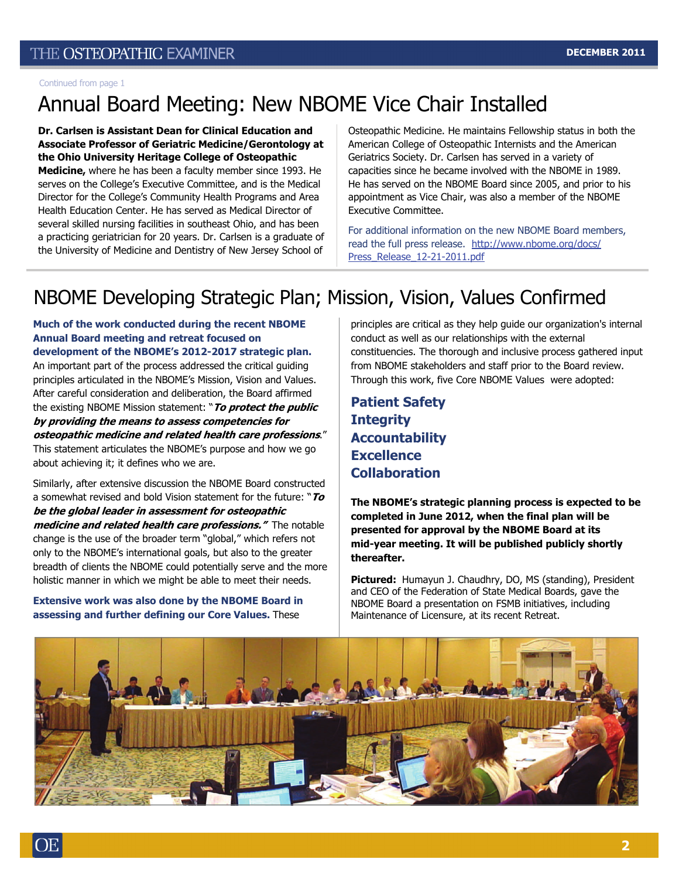Continued from page 1

# Annual Board Meeting: New NBOME Vice Chair Installed

**Dr. Carlsen is Assistant Dean for Clinical Education and Associate Professor of Geriatric Medicine/Gerontology at the Ohio University Heritage College of Osteopathic Medicine,** where he has been a faculty member since 1993. He serves on the College's Executive Committee, and is the Medical Director for the College's Community Health Programs and Area Health Education Center. He has served as Medical Director of several skilled nursing facilities in southeast Ohio, and has been a practicing geriatrician for 20 years. Dr. Carlsen is a graduate of the University of Medicine and Dentistry of New Jersey School of

Osteopathic Medicine. He maintains Fellowship status in both the American College of Osteopathic Internists and the American Geriatrics Society. Dr. Carlsen has served in a variety of capacities since he became involved with the NBOME in 1989. He has served on the NBOME Board since 2005, and prior to his appointment as Vice Chair, was also a member of the NBOME Executive Committee.

For additional information on the new NBOME Board members, read the full press release. [http://www.nbome.org/docs/](http://www.nbome.org/docs/Press_Release_12-21-2011.pdf) [Press\\_Release\\_12-21-2011.pdf](http://www.nbome.org/docs/Press_Release_12-21-2011.pdf)

## NBOME Developing Strategic Plan; Mission, Vision, Values Confirmed

**Much of the work conducted during the recent NBOME Annual Board meeting and retreat focused on development of the NBOME's 2012-2017 strategic plan.**  An important part of the process addressed the critical guiding principles articulated in the NBOME's Mission, Vision and Values. After careful consideration and deliberation, the Board affirmed the existing NBOME Mission statement: "**To protect the public by providing the means to assess competencies for osteopathic medicine and related health care professions**." This statement articulates the NBOME's purpose and how we go about achieving it; it defines who we are.

Similarly, after extensive discussion the NBOME Board constructed a somewhat revised and bold Vision statement for the future: "**To be the global leader in assessment for osteopathic medicine and related health care professions."** The notable change is the use of the broader term "global," which refers not only to the NBOME's international goals, but also to the greater breadth of clients the NBOME could potentially serve and the more holistic manner in which we might be able to meet their needs.

**Extensive work was also done by the NBOME Board in assessing and further defining our Core Values.** These

principles are critical as they help guide our [organization's](http://www.businessdictionary.com/definition/organization.html) internal [conduct](http://www.businessdictionary.com/definition/conduct.html) as well as our [relationships](http://www.businessdictionary.com/definition/relationship.html) with the external constituencies. The thorough and inclusive process gathered input from NBOME stakeholders and staff prior to the Board review. Through this work, five Core NBOME Values were adopted:

**Patient Safety Integrity Accountability Excellence Collaboration** 

**The NBOME's strategic planning process is expected to be completed in June 2012, when the final plan will be presented for approval by the NBOME Board at its mid-year meeting. It will be published publicly shortly thereafter.** 

**Pictured:** Humayun J. Chaudhry, DO, MS (standing), President and CEO of the Federation of State Medical Boards, gave the NBOME Board a presentation on FSMB initiatives, including Maintenance of Licensure, at its recent Retreat.

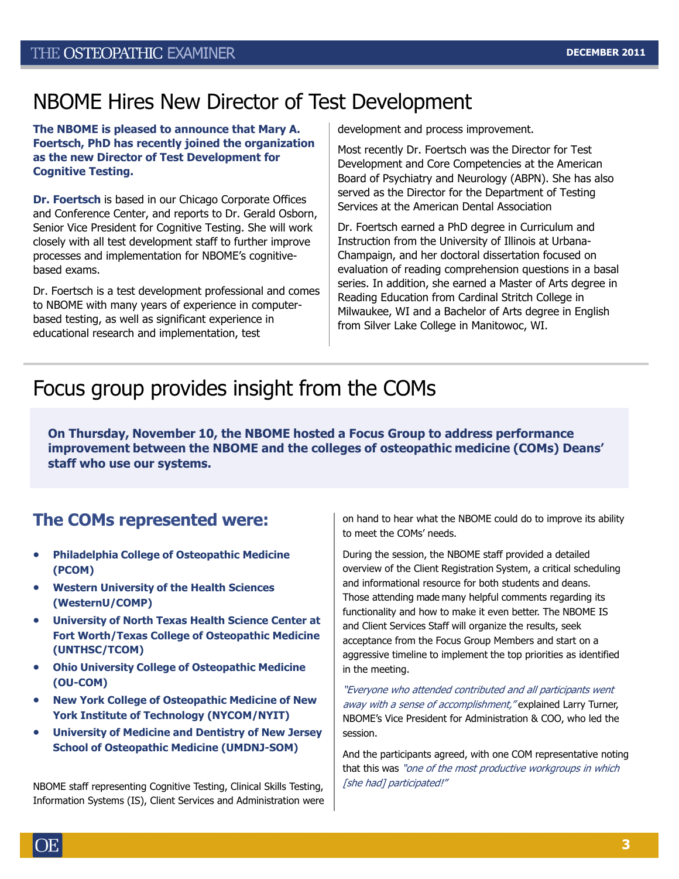## NBOME Hires New Director of Test Development

**The NBOME is pleased to announce that Mary A. Foertsch, PhD has recently joined the organization as the new Director of Test Development for Cognitive Testing.** 

**Dr. Foertsch** is based in our Chicago Corporate Offices and Conference Center, and reports to Dr. Gerald Osborn, Senior Vice President for Cognitive Testing. She will work closely with all test development staff to further improve processes and implementation for NBOME's cognitivebased exams.

Dr. Foertsch is a test development professional and comes to NBOME with many years of experience in computerbased testing, as well as significant experience in educational research and implementation, test

development and process improvement.

Most recently Dr. Foertsch was the Director for Test Development and Core Competencies at the American Board of Psychiatry and Neurology (ABPN). She has also served as the Director for the Department of Testing Services at the American Dental Association

Dr. Foertsch earned a PhD degree in Curriculum and Instruction from the University of Illinois at Urbana-Champaign, and her doctoral dissertation focused on evaluation of reading comprehension questions in a basal series. In addition, she earned a Master of Arts degree in Reading Education from Cardinal Stritch College in Milwaukee, WI and a Bachelor of Arts degree in English from Silver Lake College in Manitowoc, WI.

## Focus group provides insight from the COMs

**On Thursday, November 10, the NBOME hosted a Focus Group to address performance improvement between the NBOME and the colleges of osteopathic medicine (COMs) Deans' staff who use our systems.**

## **The COMs represented were:**

- **Philadelphia College of Osteopathic Medicine (PCOM)**
- **Western University of the Health Sciences (WesternU/COMP)**
- **University of North Texas Health Science Center at Fort Worth/Texas College of Osteopathic Medicine (UNTHSC/TCOM)**
- **Ohio University College of Osteopathic Medicine (OU-COM)**
- **New York College of Osteopathic Medicine of New York Institute of Technology (NYCOM/NYIT)**
- **University of Medicine and Dentistry of New Jersey School of Osteopathic Medicine (UMDNJ-SOM)**

NBOME staff representing Cognitive Testing, Clinical Skills Testing, Information Systems (IS), Client Services and Administration were on hand to hear what the NBOME could do to improve its ability to meet the COMs' needs.

During the session, the NBOME staff provided a detailed overview of the Client Registration System, a critical scheduling and informational resource for both students and deans. Those attending made many helpful comments regarding its functionality and how to make it even better. The NBOME IS and Client Services Staff will organize the results, seek acceptance from the Focus Group Members and start on a aggressive timeline to implement the top priorities as identified in the meeting.

"Everyone who attended contributed and all participants went away with a sense of accomplishment," explained Larry Turner, NBOME's Vice President for Administration & COO, who led the session.

And the participants agreed, with one COM representative noting that this was "one of the most productive workgroups in which [she had] participated!"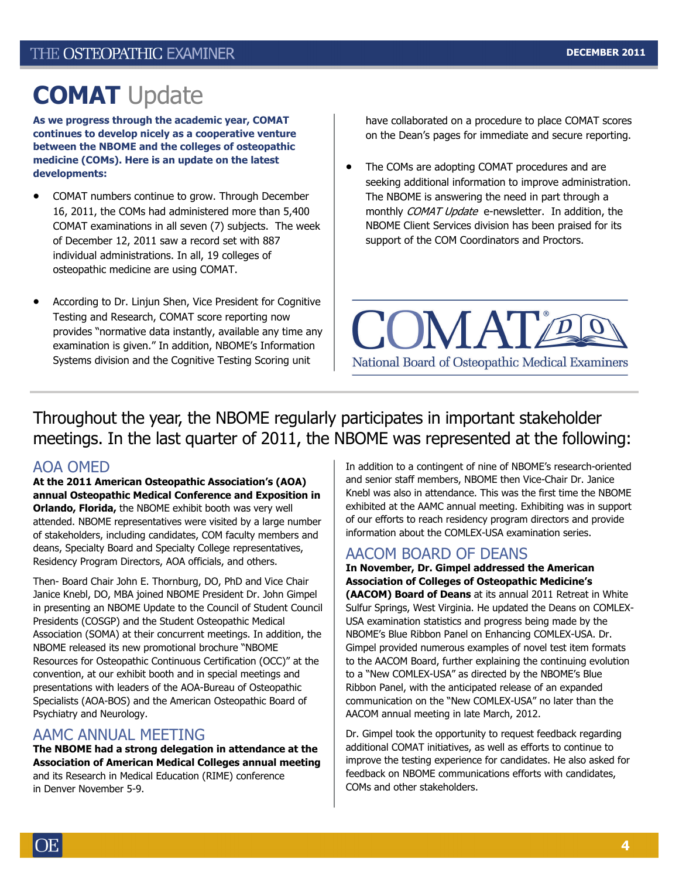# **COMAT** Update

**As we progress through the academic year, COMAT continues to develop nicely as a cooperative venture between the NBOME and the colleges of osteopathic medicine (COMs). Here is an update on the latest developments:** 

- COMAT numbers continue to grow. Through December 16, 2011, the COMs had administered more than 5,400 COMAT examinations in all seven (7) subjects. The week of December 12, 2011 saw a record set with 887 individual administrations. In all, 19 colleges of osteopathic medicine are using COMAT.
- According to Dr. Linjun Shen, Vice President for Cognitive Testing and Research, COMAT score reporting now provides "normative data instantly, available any time any examination is given." In addition, NBOME's Information Systems division and the Cognitive Testing Scoring unit

have collaborated on a procedure to place COMAT scores on the Dean's pages for immediate and secure reporting.

The COMs are adopting COMAT procedures and are seeking additional information to improve administration. The NBOME is answering the need in part through a monthly COMAT Update e-newsletter. In addition, the NBOME Client Services division has been praised for its support of the COM Coordinators and Proctors.



Throughout the year, the NBOME regularly participates in important stakeholder meetings. In the last quarter of 2011, the NBOME was represented at the following:

#### AOA OMED

**At the 2011 American Osteopathic Association's (AOA) annual Osteopathic Medical Conference and Exposition in Orlando, Florida,** the NBOME exhibit booth was very well attended. NBOME representatives were visited by a large number of stakeholders, including candidates, COM faculty members and deans, Specialty Board and Specialty College representatives, Residency Program Directors, AOA officials, and others.

Then- Board Chair John E. Thornburg, DO, PhD and Vice Chair Janice Knebl, DO, MBA joined NBOME President Dr. John Gimpel in presenting an NBOME Update to the Council of Student Council Presidents (COSGP) and the Student Osteopathic Medical Association (SOMA) at their concurrent meetings. In addition, the NBOME released its new promotional brochure "NBOME Resources for Osteopathic Continuous Certification (OCC)" at the convention, at our exhibit booth and in special meetings and presentations with leaders of the AOA-Bureau of Osteopathic Specialists (AOA-BOS) and the American Osteopathic Board of Psychiatry and Neurology.

#### AAMC ANNUAL MEETING

**The NBOME had a strong delegation in attendance at the Association of American Medical Colleges annual meeting**  and its Research in Medical Education (RIME) conference in Denver November 5-9.

In addition to a contingent of nine of NBOME's research-oriented and senior staff members, NBOME then Vice-Chair Dr. Janice Knebl was also in attendance. This was the first time the NBOME exhibited at the AAMC annual meeting. Exhibiting was in support of our efforts to reach residency program directors and provide information about the COMLEX-USA examination series.

#### AACOM BOARD OF DEANS

**In November, Dr. Gimpel addressed the American Association of Colleges of Osteopathic Medicine's** 

**(AACOM) Board of Deans** at its annual 2011 Retreat in White Sulfur Springs, West Virginia. He updated the Deans on COMLEX-USA examination statistics and progress being made by the NBOME's Blue Ribbon Panel on Enhancing COMLEX-USA. Dr. Gimpel provided numerous examples of novel test item formats to the AACOM Board, further explaining the continuing evolution to a "New COMLEX-USA" as directed by the NBOME's Blue Ribbon Panel, with the anticipated release of an expanded communication on the "New COMLEX-USA" no later than the AACOM annual meeting in late March, 2012.

Dr. Gimpel took the opportunity to request feedback regarding additional COMAT initiatives, as well as efforts to continue to improve the testing experience for candidates. He also asked for feedback on NBOME communications efforts with candidates, COMs and other stakeholders.